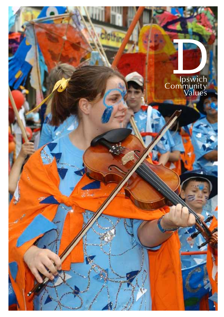